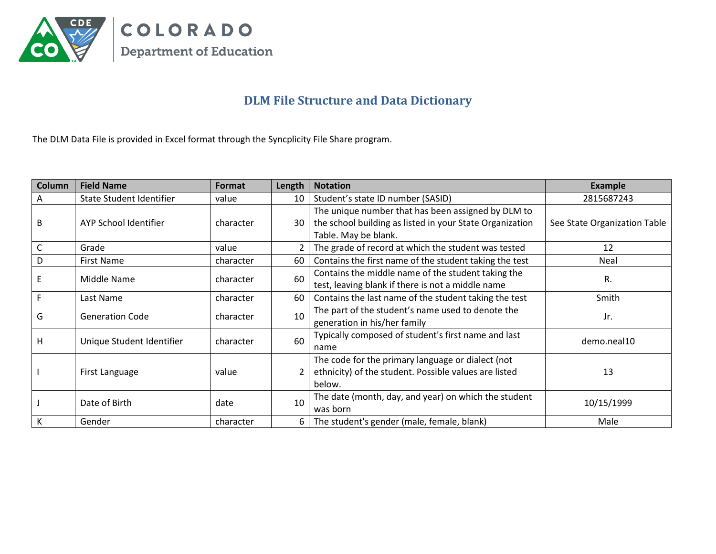

## **DLM File Structure and Data Dictionary**

The DLM Data File is provided in Excel format through the Syncplicity File Share program.

| <b>Column</b> | <b>Field Name</b>               | Format    | Length         | <b>Notation</b>                                          | <b>Example</b>               |
|---------------|---------------------------------|-----------|----------------|----------------------------------------------------------|------------------------------|
| A             | <b>State Student Identifier</b> | value     | 10             | Student's state ID number (SASID)                        | 2815687243                   |
|               |                                 |           |                | The unique number that has been assigned by DLM to       |                              |
| B             | AYP School Identifier           | character | 30             | the school building as listed in your State Organization | See State Organization Table |
|               |                                 |           |                | Table. May be blank.                                     |                              |
| С             | Grade                           | value     | $\overline{2}$ | The grade of record at which the student was tested      | 12                           |
| D             | <b>First Name</b>               | character | 60             | Contains the first name of the student taking the test   | Neal                         |
| E             | Middle Name                     | character | 60             | Contains the middle name of the student taking the       | R.                           |
|               |                                 |           |                | test, leaving blank if there is not a middle name        |                              |
|               | Last Name                       | character | 60             | Contains the last name of the student taking the test    | Smith                        |
| G             | <b>Generation Code</b>          | character | 10             | The part of the student's name used to denote the        | Jr.                          |
|               |                                 |           |                | generation in his/her family                             |                              |
| Н             | Unique Student Identifier       | character | 60             | Typically composed of student's first name and last      | demo.neal10                  |
|               |                                 |           |                | name                                                     |                              |
|               |                                 |           |                | The code for the primary language or dialect (not        |                              |
|               | First Language                  | value     |                | ethnicity) of the student. Possible values are listed    | 13                           |
|               |                                 |           |                | below.                                                   |                              |
|               | Date of Birth                   | date      | 10             | The date (month, day, and year) on which the student     | 10/15/1999                   |
|               |                                 |           |                | was born                                                 |                              |
| K             | Gender                          | character | 6              | The student's gender (male, female, blank)               | Male                         |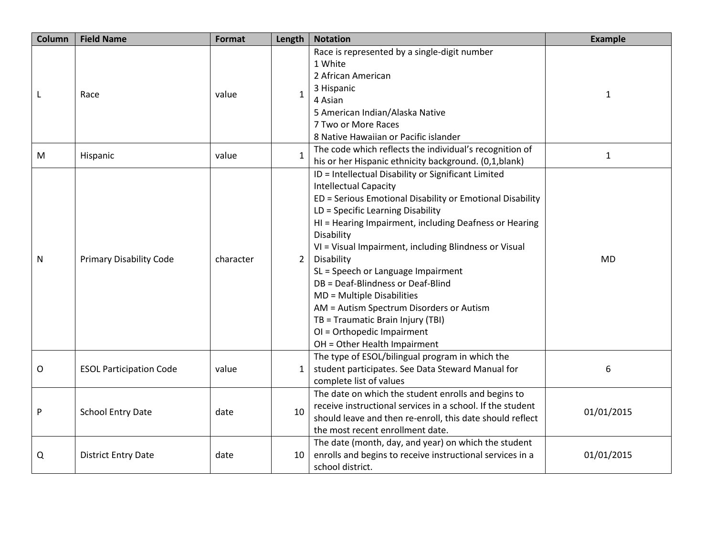| Column | <b>Field Name</b>              | Format    | Length         | <b>Notation</b>                                            | <b>Example</b> |
|--------|--------------------------------|-----------|----------------|------------------------------------------------------------|----------------|
|        | Race                           |           |                | Race is represented by a single-digit number               |                |
|        |                                |           |                | 1 White                                                    |                |
|        |                                |           |                | 2 African American                                         |                |
|        |                                | value     | $\mathbf{1}$   | 3 Hispanic                                                 | $\mathbf 1$    |
| L      |                                |           |                | 4 Asian                                                    |                |
|        |                                |           |                | 5 American Indian/Alaska Native                            |                |
|        |                                |           |                | 7 Two or More Races                                        |                |
|        |                                |           |                | 8 Native Hawaiian or Pacific islander                      |                |
| M      |                                | value     | $\mathbf{1}$   | The code which reflects the individual's recognition of    | $\mathbf{1}$   |
|        | Hispanic                       |           |                | his or her Hispanic ethnicity background. (0,1,blank)      |                |
|        |                                |           |                | ID = Intellectual Disability or Significant Limited        |                |
|        |                                |           |                | <b>Intellectual Capacity</b>                               |                |
|        |                                |           | $\overline{2}$ | ED = Serious Emotional Disability or Emotional Disability  |                |
|        | <b>Primary Disability Code</b> | character |                | LD = Specific Learning Disability                          | <b>MD</b>      |
|        |                                |           |                | HI = Hearing Impairment, including Deafness or Hearing     |                |
|        |                                |           |                | Disability                                                 |                |
|        |                                |           |                | VI = Visual Impairment, including Blindness or Visual      |                |
| N      |                                |           |                | Disability                                                 |                |
|        |                                |           |                | SL = Speech or Language Impairment                         |                |
|        |                                |           |                | DB = Deaf-Blindness or Deaf-Blind                          |                |
|        |                                |           |                | MD = Multiple Disabilities                                 |                |
|        |                                |           |                | AM = Autism Spectrum Disorders or Autism                   |                |
|        |                                |           |                | TB = Traumatic Brain Injury (TBI)                          |                |
|        |                                |           |                | OI = Orthopedic Impairment                                 |                |
|        |                                |           |                | OH = Other Health Impairment                               |                |
|        | <b>ESOL Participation Code</b> | value     | 1              | The type of ESOL/bilingual program in which the            | 6              |
| O      |                                |           |                | student participates. See Data Steward Manual for          |                |
|        |                                |           |                | complete list of values                                    |                |
| P      | <b>School Entry Date</b>       | date      | 10             | The date on which the student enrolls and begins to        | 01/01/2015     |
|        |                                |           |                | receive instructional services in a school. If the student |                |
|        |                                |           |                | should leave and then re-enroll, this date should reflect  |                |
|        |                                |           |                | the most recent enrollment date.                           |                |
|        |                                |           |                | The date (month, day, and year) on which the student       |                |
| Q      | <b>District Entry Date</b>     | date      | 10             | enrolls and begins to receive instructional services in a  | 01/01/2015     |
|        |                                |           |                | school district.                                           |                |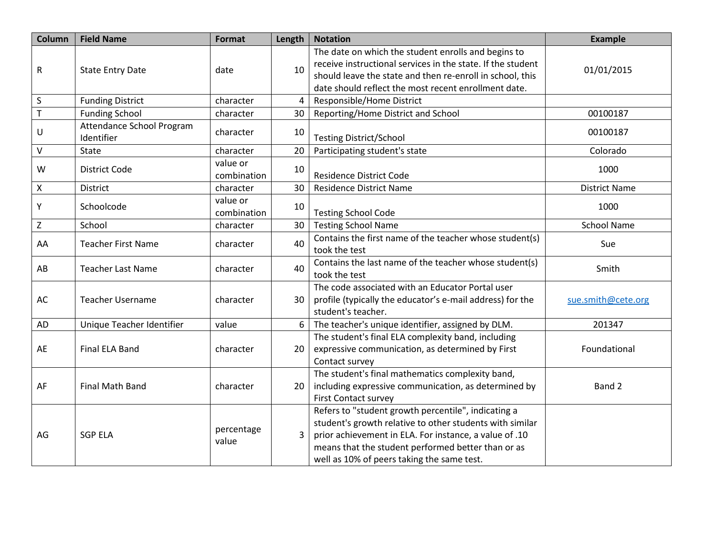| Column         | <b>Field Name</b>                       | Format                  | Length | <b>Notation</b>                                                                                                                     | <b>Example</b>       |
|----------------|-----------------------------------------|-------------------------|--------|-------------------------------------------------------------------------------------------------------------------------------------|----------------------|
|                | <b>State Entry Date</b>                 | date                    | 10     | The date on which the student enrolls and begins to<br>receive instructional services in the state. If the student                  |                      |
| R              |                                         |                         |        | should leave the state and then re-enroll in school, this                                                                           | 01/01/2015           |
|                |                                         |                         |        | date should reflect the most recent enrollment date.                                                                                |                      |
| $\sf S$        | <b>Funding District</b>                 | character               | 4      | Responsible/Home District                                                                                                           |                      |
| $\overline{T}$ | <b>Funding School</b>                   | character               | 30     | Reporting/Home District and School                                                                                                  | 00100187             |
| U              | Attendance School Program<br>Identifier | character               | 10     | <b>Testing District/School</b>                                                                                                      | 00100187             |
| V              | <b>State</b>                            | character               | 20     | Participating student's state                                                                                                       | Colorado             |
| W              | <b>District Code</b>                    | value or<br>combination | 10     | <b>Residence District Code</b>                                                                                                      | 1000                 |
| Χ              | <b>District</b>                         | character               | 30     | <b>Residence District Name</b>                                                                                                      | <b>District Name</b> |
| Υ              | Schoolcode                              | value or<br>combination | 10     | <b>Testing School Code</b>                                                                                                          | 1000                 |
| $\mathsf Z$    | School                                  | character               | 30     | <b>Testing School Name</b>                                                                                                          | <b>School Name</b>   |
| AA             | <b>Teacher First Name</b>               | character               | 40     | Contains the first name of the teacher whose student(s)<br>took the test                                                            | Sue                  |
| AB             | <b>Teacher Last Name</b>                | character               | 40     | Contains the last name of the teacher whose student(s)<br>took the test                                                             | Smith                |
| AC             | <b>Teacher Username</b>                 | character               | 30     | The code associated with an Educator Portal user<br>profile (typically the educator's e-mail address) for the<br>student's teacher. | sue.smith@cete.org   |
| AD             | Unique Teacher Identifier               | value                   | 6      | The teacher's unique identifier, assigned by DLM.                                                                                   | 201347               |
|                |                                         |                         |        | The student's final ELA complexity band, including                                                                                  |                      |
| AE             | Final ELA Band                          | character               | 20     | expressive communication, as determined by First                                                                                    | Foundational         |
|                |                                         |                         |        | Contact survey                                                                                                                      |                      |
|                | Final Math Band                         | character               | 20     | The student's final mathematics complexity band,                                                                                    |                      |
| AF             |                                         |                         |        | including expressive communication, as determined by                                                                                | Band 2               |
|                |                                         |                         |        | <b>First Contact survey</b>                                                                                                         |                      |
| AG             | <b>SGP ELA</b>                          | percentage<br>value     | 3      | Refers to "student growth percentile", indicating a<br>student's growth relative to other students with similar                     |                      |
|                |                                         |                         |        | prior achievement in ELA. For instance, a value of .10                                                                              |                      |
|                |                                         |                         |        | means that the student performed better than or as                                                                                  |                      |
|                |                                         |                         |        | well as 10% of peers taking the same test.                                                                                          |                      |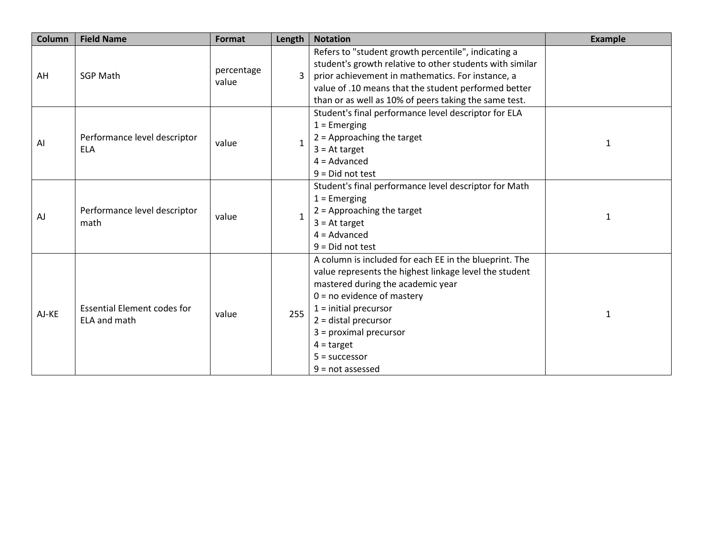| <b>Column</b> | <b>Field Name</b>                                  | <b>Format</b>       | Length       | <b>Notation</b>                                          | <b>Example</b> |
|---------------|----------------------------------------------------|---------------------|--------------|----------------------------------------------------------|----------------|
| AH            | <b>SGP Math</b>                                    | percentage<br>value | $\mathbf{R}$ | Refers to "student growth percentile", indicating a      |                |
|               |                                                    |                     |              | student's growth relative to other students with similar |                |
|               |                                                    |                     |              | prior achievement in mathematics. For instance, a        |                |
|               |                                                    |                     |              | value of .10 means that the student performed better     |                |
|               |                                                    |                     |              | than or as well as 10% of peers taking the same test.    |                |
|               |                                                    | value               |              | Student's final performance level descriptor for ELA     |                |
|               |                                                    |                     | 1            | $1 =$ Emerging                                           |                |
|               | Performance level descriptor                       |                     |              | $2 =$ Approaching the target                             |                |
| Al            | <b>ELA</b>                                         |                     |              | $3 = At target$                                          | $\mathbf{1}$   |
|               |                                                    |                     |              | $4 =$ Advanced                                           |                |
|               |                                                    |                     |              | $9 = Did not test$                                       |                |
|               | Performance level descriptor<br>math               | value               | 1            | Student's final performance level descriptor for Math    |                |
|               |                                                    |                     |              | $1 =$ Emerging                                           | 1              |
| AJ            |                                                    |                     |              | $2$ = Approaching the target                             |                |
|               |                                                    |                     |              | $3 = At target$                                          |                |
|               |                                                    |                     |              | $4 =$ Advanced                                           |                |
|               |                                                    |                     |              | $9 = Did not test$                                       |                |
|               |                                                    |                     |              | A column is included for each EE in the blueprint. The   |                |
|               | <b>Essential Element codes for</b><br>ELA and math | value               | 255          | value represents the highest linkage level the student   |                |
|               |                                                    |                     |              | mastered during the academic year                        |                |
|               |                                                    |                     |              | $0 = no$ evidence of mastery                             |                |
| AJ-KE         |                                                    |                     |              | $1 =$ initial precursor                                  | 1              |
|               |                                                    |                     |              | $2 = distal precursor$                                   |                |
|               |                                                    |                     |              | $3 = proximal precursor$                                 |                |
|               |                                                    |                     |              | $4 = target$                                             |                |
|               |                                                    |                     |              | $5 =$ successor                                          |                |
|               |                                                    |                     |              | $9 = not assessed$                                       |                |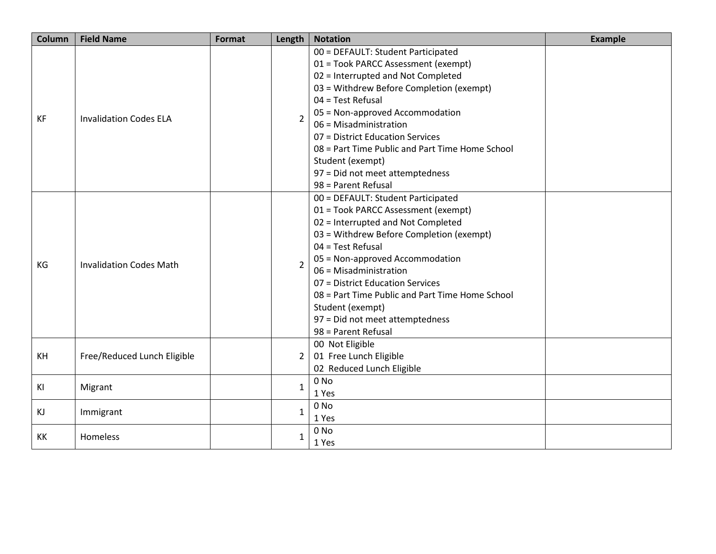| Column    | <b>Field Name</b>              | Format | Length         | <b>Notation</b>                                 | <b>Example</b> |
|-----------|--------------------------------|--------|----------------|-------------------------------------------------|----------------|
|           | <b>Invalidation Codes ELA</b>  |        |                | 00 = DEFAULT: Student Participated              |                |
|           |                                |        |                | 01 = Took PARCC Assessment (exempt)             |                |
|           |                                |        |                | 02 = Interrupted and Not Completed              |                |
|           |                                |        | $\overline{2}$ | 03 = Withdrew Before Completion (exempt)        |                |
|           |                                |        |                | $04$ = Test Refusal                             |                |
| <b>KF</b> |                                |        |                | 05 = Non-approved Accommodation                 |                |
|           |                                |        |                | 06 = Misadministration                          |                |
|           |                                |        |                | 07 = District Education Services                |                |
|           |                                |        |                | 08 = Part Time Public and Part Time Home School |                |
|           |                                |        |                | Student (exempt)                                |                |
|           |                                |        |                | 97 = Did not meet attemptedness                 |                |
|           |                                |        |                | 98 = Parent Refusal                             |                |
|           | <b>Invalidation Codes Math</b> |        |                | 00 = DEFAULT: Student Participated              |                |
|           |                                |        |                | 01 = Took PARCC Assessment (exempt)             |                |
|           |                                |        |                | 02 = Interrupted and Not Completed              |                |
|           |                                |        |                | 03 = Withdrew Before Completion (exempt)        |                |
|           |                                |        |                | $04$ = Test Refusal                             |                |
| KG        |                                |        | $\overline{2}$ | 05 = Non-approved Accommodation                 |                |
|           |                                |        |                | 06 = Misadministration                          |                |
|           |                                |        |                | 07 = District Education Services                |                |
|           |                                |        |                | 08 = Part Time Public and Part Time Home School |                |
|           |                                |        |                | Student (exempt)                                |                |
|           |                                |        |                | 97 = Did not meet attemptedness                 |                |
|           |                                |        |                | 98 = Parent Refusal                             |                |
|           | Free/Reduced Lunch Eligible    |        |                | 00 Not Eligible                                 |                |
| KH        |                                |        | $\overline{2}$ | 01 Free Lunch Eligible                          |                |
|           |                                |        |                | 02 Reduced Lunch Eligible                       |                |
| KI        | Migrant                        |        | $\mathbf{1}$   | $0$ No                                          |                |
|           |                                |        |                | 1 Yes                                           |                |
| KJ        | Immigrant                      |        | $\mathbf{1}$   | $0$ No                                          |                |
|           |                                |        |                | 1 Yes                                           |                |
| KK        | Homeless                       |        | $\mathbf{1}$   | 0 No                                            |                |
|           |                                |        |                | 1 Yes                                           |                |